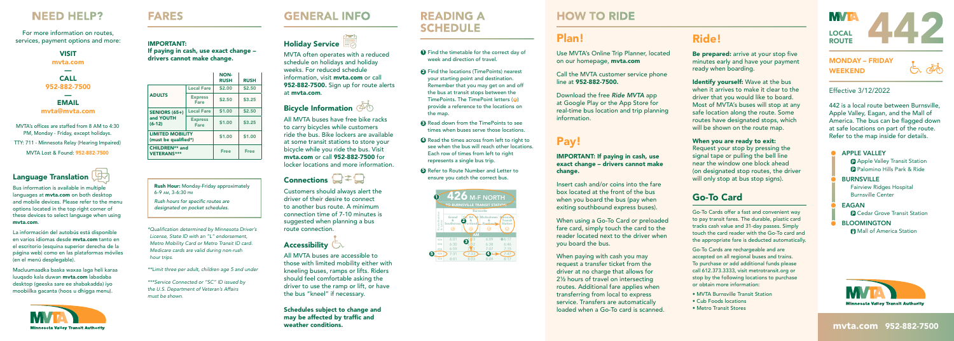#### MONDAY – FRIDAY WEEKEND

 $\overline{\mathbb{A}}$ 

#### Effective 3/12/2022

442 is a local route between Burnsville, Apple Valley, Eagan, and the Mall of America. The bus can be flagged down at safe locations on part of the route. Refer to the map inside for details.

#### **APPLE VALLEY P** Apple Valley Transit Station P Palomino Hills Park & Ride BURNSVILLE Fairview Ridges Hospital Burnsville Center EAGAN **P** Cedar Grove Transit Station **BLOOMINGTON Mall of America Station**



#### mvta.com 952-882-7500

# Plan!

Use MVTA's Online Trip Planner, located on our homepage, mvta.com

 Call the MVTA customer service phone line at 952-882-7500.

Download the free *Ride MVTA* app at Google Play or the App Store for real-time bus location and trip planning information.

Be prepared: arrive at your stop five minutes early and have your payment ready when boarding.

Identify yourself: Wave at the bus when it arrives to make it clear to the driver that you would like to board. Most of MVTA's buses will stop at any safe location along the route. Some routes have designated stops, which will be shown on the route map.

## Pay!

IMPORTANT: If paying in cash, use exact change – drivers cannot make change.

When you are ready to exit: Request your stop by pressing the signal tape or pulling the bell line near the window one block ahead (on designated stop routes, the driver will only stop at bus stop signs).

Insert cash and/or coins into the fare box located at the front of the bus when you board the bus (pay when exiting southbound express buses).

When using a Go-To Card or preloaded fare card, simply touch the card to the reader located next to the driver when you board the bus.

When paying with cash you may request a transfer ticket from the driver at no charge that allows for 2½ hours of travel on intersecting routes. Additional fare applies when transferring from local to express service. Transfers are automatically loaded when a Go-To card is scanned.

### Ride!

**Rush Hour:** Monday-Friday approximately 6-9 AM, 3-6:30 PM

*Rush hours for specific routes are designated on pocket schedules.*

### Go-To Card

Go-To Cards offer a fast and convenient way to pay transit fares. The durable, plastic card tracks cash value and 31-day passes. Simply touch the card reader with the Go-To card and the appropriate fare is deducted automatically.

MVTA's offices are staffed from 8 AM to 4:30 PM, Monday - Friday, except holidays. TTY: 711 - Minnesota Relay (Hearing Impaired) MVTA Lost & Found: 952-882-7500

> Go-To Cards are rechargeable and are accepted on all regional buses and trains. To purchase or add additional funds please call 612.373.3333, visit metrotransit.org or stop by the following locations to purchase or obtain more information:

- MVTA Burnsville Transit Station
- Cub Foods locations
- Metro Transit Stores

**MVIA** LOCAL **ROUTE** 

MVTA often operates with a reduced schedule on holidays and holiday weeks. For reduced schedule information, visit **myta.com** or call 952-882-7500. Sign up for route alerts at mvta.com.

### Bicycle Information @

All MVTA buses have free bike racks to carry bicycles while customers ride the bus. Bike lockers are available at some transit stations to store your bicycle while you ride the bus. Visit mvta.com or call 952-882-7500 for locker locations and more information.

### Connections  $\Box \neq \Box$

- **1** Find the timetable for the correct day of week and direction of travel.
- **2** Find the locations (TimePoints) nearest your starting point and destination. Remember that you may get on and off the bus at transit stops between the TimePoints. The TimePoint letters (<sup>a</sup>) provide a reference to the locations on the map.
- <sup>3</sup> Read down from the TimePoints to see times when buses serve those locations.
- **4** Read the times across from left to right to see when the bus will reach other locations. Each row of times from left to right represents a single bus trip.
- **6** Refer to Route Number and Letter to ensure you catch the correct bus.

Customers should always alert the driver of their desire to connect to another bus route. A minimum connection time of 7-10 minutes is suggested when planning a bus route connection.

### Accessibility  $\Box$

All MVTA buses are accessible to those with limited mobility either with kneeling buses, ramps or lifts. Riders should feel comfortable asking the driver to use the ramp or lift, or have the bus "kneel" if necessary.

Schedules subject to change and may be affected by traffic and weather conditions.

## **READING A SCHEDULE**

#### IMPORTANT: If paying in cash, use exact change – drivers cannot make change.

**FARES** 

*\* Qualifi cation determined by Minnesota Driver's License, State ID with an "L" endorsement, Metro Mobility Card or Metro Transit ID card. Medicare cards are valid during non-rush hour trips.* 

*\*\*Limit three per adult, children age 5 and under*

*\*\*\*Service Connected or "SC" ID issued by the U.S. Department of Veteran's Affairs must be shown.*

## **GENERAL INFO**

## Holiday Service

|                                                 |                               | <b>NON-</b><br><b>RUSH</b> | <b>RUSH</b> |  |
|-------------------------------------------------|-------------------------------|----------------------------|-------------|--|
|                                                 | <b>Local Fare</b>             | \$2.00                     | \$2.50      |  |
| <b>ADULTS</b>                                   | <b>Express</b><br><b>Fare</b> | \$2.50                     | \$3.25      |  |
| <b>SENIORS (65+)</b>                            | <b>Local Fare</b>             | \$1.00                     | \$2.50      |  |
| and YOUTH<br>$(6-12)$                           | <b>Express</b><br>Fare        | \$1.00                     | \$3.25      |  |
| <b>LIMITED MOBILITY</b><br>(must be qualified*) | \$1.00                        | \$1.00                     |             |  |
| <b>CHILDREN** and</b><br><b>VETERANS***</b>     | <b>Free</b>                   | <b>Free</b>                |             |  |



Bus information is available in multiple languages at **mvta.com** on both desktop and mobile devices. Please refer to the menu options located in the top right corner of these devices to select language when using mvta.com.

La información del autobús está disponible en varios idiomas desde mvta.com tanto en el escritorio (esquina superior derecha de la página web) como en las plataformas móviles (en el menú desplegable).

Macluumaadka baska waxaa laga heli karaa luuqado kala duwan mvta.com labadaba desktop (geeska sare ee shabakadda) iyo moobiilka gacanta (hoos u dhigga menu).



#### VISIT

mvta.com —

CALL 952-882-7500 — EMAIL

#### mvta@mvta.com

### **NEED HELP?**

For more information on routes, services, payment options and more:



## **HOW TO RIDE**